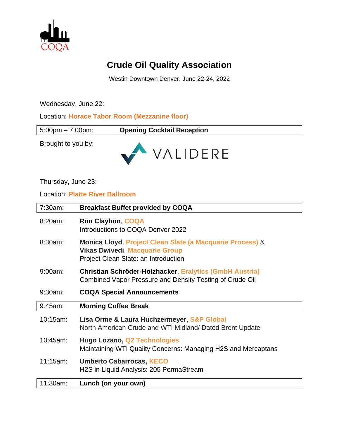

## **Crude Oil Quality Association**

Westin Downtown Denver, June 22-24, 2022

## Wednesday, June 22:

Location: **Horace Tabor Room (Mezzanine floor)**

11:15am: **Umberto Cabarrocas, KECO**

11:30am: **Lunch (on your own)**

H2S in Liquid Analysis: 205 PermaStream

| $5:00 \text{pm} - 7:00 \text{pm}$      | <b>Opening Cocktail Reception</b>                                                                                                          |  |
|----------------------------------------|--------------------------------------------------------------------------------------------------------------------------------------------|--|
| Brought to you by:                     | VALIDERE                                                                                                                                   |  |
| Thursday, June 23:                     |                                                                                                                                            |  |
| <b>Location: Platte River Ballroom</b> |                                                                                                                                            |  |
| 7:30am:                                | <b>Breakfast Buffet provided by COQA</b>                                                                                                   |  |
| 8:20am:                                | <b>Ron Claybon, COQA</b><br>Introductions to COQA Denver 2022                                                                              |  |
| 8:30am:                                | Monica Lloyd, Project Clean Slate (a Macquarie Process) &<br><b>Vikas Dwivedi, Macquarie Group</b><br>Project Clean Slate: an Introduction |  |
| $9:00$ am:                             | Christian Schröder-Holzhacker, Eralytics (GmbH Austria)<br>Combined Vapor Pressure and Density Testing of Crude Oil                        |  |
| $9:30am$ :                             | <b>COQA Special Announcements</b>                                                                                                          |  |
| 9:45am:                                | <b>Morning Coffee Break</b>                                                                                                                |  |
| 10:15am:                               | Lisa Orme & Laura Huchzermeyer, S&P Global<br>North American Crude and WTI Midland/ Dated Brent Update                                     |  |
| 10:45am:                               | <b>Hugo Lozano, Q2 Technologies</b>                                                                                                        |  |

Maintaining WTI Quality Concerns: Managing H2S and Mercaptans